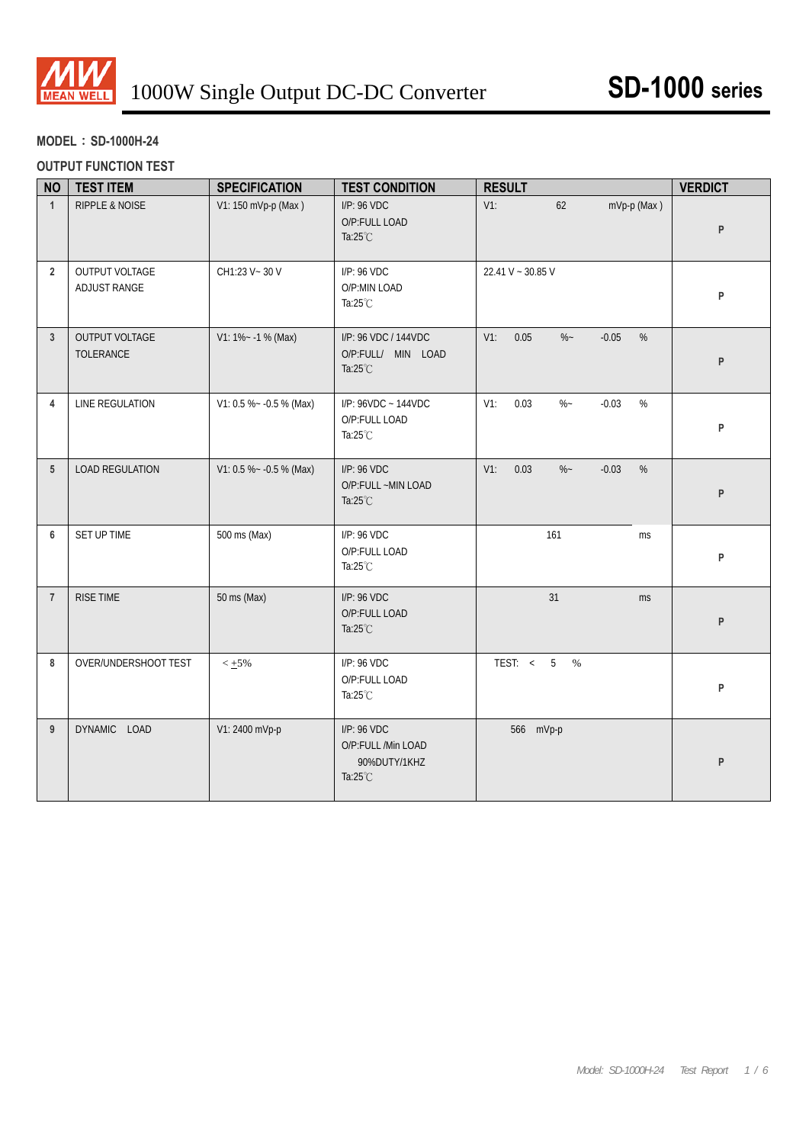

# **MODEL**:**SD-1000H-24**

#### **OUTPUT FUNCTION TEST**

| <b>NO</b>       | <b>TEST ITEM</b>               | <b>SPECIFICATION</b>      | <b>TEST CONDITION</b>                                            | <b>RESULT</b>                               | <b>VERDICT</b> |
|-----------------|--------------------------------|---------------------------|------------------------------------------------------------------|---------------------------------------------|----------------|
| $\mathbf{1}$    | <b>RIPPLE &amp; NOISE</b>      | V1: 150 mVp-p (Max)       | I/P: 96 VDC<br>O/P:FULL LOAD<br>Ta: $25^{\circ}$ C               | $V1$ :<br>mVp-p (Max)<br>62                 | P              |
| $\overline{2}$  | OUTPUT VOLTAGE<br>ADJUST RANGE | CH1:23 V ~ 30 V           | I/P: 96 VDC<br>O/P:MIN LOAD<br>Ta:25°C                           | 22.41 V ~ 30.85 V                           | P              |
| $\overline{3}$  | OUTPUT VOLTAGE<br>TOLERANCE    | $V1: 1\% - 1\%$ (Max)     | I/P: 96 VDC / 144VDC<br>O/P:FULL/ MIN LOAD<br>Ta: $25^{\circ}$ C | $V1$ :<br>0.05<br>$-0.05$<br>$\%$<br>$\%$ ~ | P              |
| $\overline{4}$  | LINE REGULATION                | V1: 0.5 % ~ - 0.5 % (Max) | I/P: 96VDC ~ 144VDC<br>O/P:FULL LOAD<br>Ta: $25^{\circ}$ C       | $V1$ :<br>0.03<br>$-0.03$<br>$\%$<br>$\%$ ~ | P              |
| $5\phantom{.0}$ | LOAD REGULATION                | V1: 0.5 % ~ - 0.5 % (Max) | I/P: 96 VDC<br>O/P:FULL ~MIN LOAD<br>Ta: $25^{\circ}$ C          | $V1$ :<br>0.03<br>$-0.03$<br>$\%$<br>$\%$ ~ | P              |
| 6               | SET UP TIME                    | 500 ms (Max)              | I/P: 96 VDC<br>O/P:FULL LOAD<br>Ta:25°C                          | 161<br><b>ms</b>                            | P              |
| $\overline{7}$  | RISE TIME                      | 50 ms (Max)               | I/P: 96 VDC<br>O/P:FULL LOAD<br>Ta: $25^{\circ}$ C               | 31<br>ms                                    | P              |
| 8               | OVER/UNDERSHOOT TEST           | $< +5\%$                  | I/P: 96 VDC<br>O/P:FULL LOAD<br>Ta: $25^{\circ}$ C               | TEST: $< 5$<br>$\%$                         | P              |
| 9               | DYNAMIC LOAD                   | V1: 2400 mVp-p            | I/P: 96 VDC<br>O/P:FULL /Min LOAD<br>90%DUTY/1KHZ<br>Ta:25°C     | 566 mVp-p                                   | P              |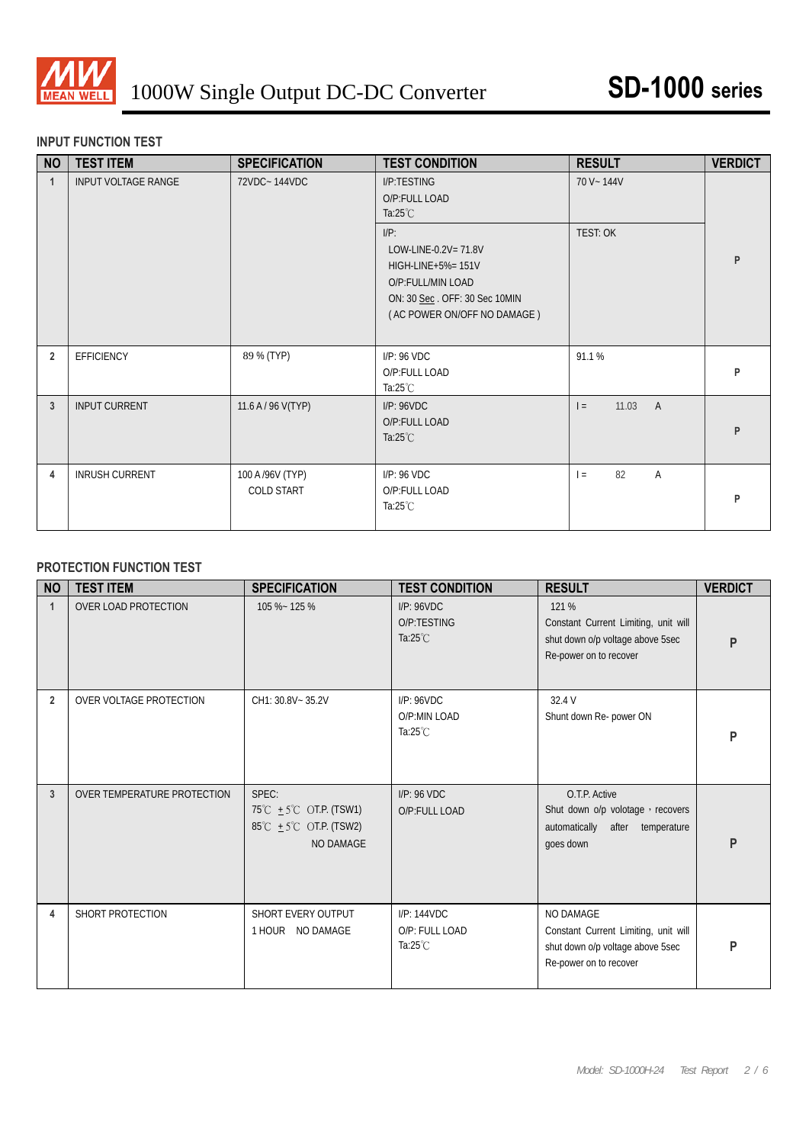

### **INPUT FUNCTION TEST**

| <b>NO</b>      | <b>TEST ITEM</b>           | <b>SPECIFICATION</b>           | <b>TEST CONDITION</b>                                                                                                                      | <b>RESULT</b>                  | <b>VERDICT</b> |
|----------------|----------------------------|--------------------------------|--------------------------------------------------------------------------------------------------------------------------------------------|--------------------------------|----------------|
| $\mathbf{1}$   | <b>INPUT VOLTAGE RANGE</b> | 72VDC~144VDC                   | I/P:TESTING<br>O/P:FULL LOAD<br>Ta: $25^{\circ}$ C                                                                                         | 70 V ~ 144V                    |                |
|                |                            |                                | $I/P$ :<br>LOW-LINE-0.2V= 71.8V<br>HIGH-LINE+5%= 151V<br>O/P:FULL/MIN LOAD<br>ON: 30 Sec. OFF: 30 Sec 10MIN<br>(AC POWER ON/OFF NO DAMAGE) | TEST: OK                       | P              |
| $\overline{2}$ | EFFICIENCY                 | 89 % (TYP)                     | I/P: 96 VDC<br>O/P:FULL LOAD<br>Ta: $25^{\circ}$ C                                                                                         | 91.1%                          | P              |
| $\mathbf{3}$   | <b>INPUT CURRENT</b>       | 11.6 A / 96 V(TYP)             | I/P: 96VDC<br>O/P:FULL LOAD<br>Ta: $25^{\circ}$ C                                                                                          | 11.03<br>$\overline{A}$<br>$=$ | P              |
| 4              | <b>INRUSH CURRENT</b>      | 100 A /96V (TYP)<br>COLD START | I/P: 96 VDC<br>O/P:FULL LOAD<br>Ta: $25^{\circ}$ C                                                                                         | 82<br>A<br>$=$                 | P              |

## **PROTECTION FUNCTION TEST**

| <b>NO</b>      | <b>TEST ITEM</b>            | <b>SPECIFICATION</b>                                                                    | <b>TEST CONDITION</b>                               | <b>RESULT</b>                                                                                                   | <b>VERDICT</b> |
|----------------|-----------------------------|-----------------------------------------------------------------------------------------|-----------------------------------------------------|-----------------------------------------------------------------------------------------------------------------|----------------|
|                | OVER LOAD PROTECTION        | 105 %~ 125 %                                                                            | I/P: 96 VDC<br>O/P:TESTING<br>Ta: $25^{\circ}$ C    | 121 %<br>Constant Current Limiting, unit will<br>shut down o/p voltage above 5sec<br>Re-power on to recover     | P              |
| $\overline{2}$ | OVER VOLTAGE PROTECTION     | CH1: 30.8V~35.2V                                                                        | I/P: 96 VDC<br>O/P:MIN LOAD<br>Ta: $25^{\circ}$ C   | 32.4 V<br>Shunt down Re- power ON                                                                               | P              |
| 3              | OVER TEMPERATURE PROTECTION | SPEC:<br>75°C $\pm$ 5°C OT.P. (TSW1)<br>85°C $\pm$ 5°C OT.P. (TSW2)<br><b>NO DAMAGE</b> | $I/P$ : 96 VDC<br>O/P:FULL LOAD                     | O.T.P. Active<br>Shut down o/p volotage, recovers<br>automatically after temperature<br>goes down               | P              |
| 4              | SHORT PROTECTION            | SHORT EVERY OUTPUT<br>1 HOUR NO DAMAGE                                                  | I/P: 144VDC<br>O/P: FULL LOAD<br>Ta: $25^{\circ}$ C | NO DAMAGE<br>Constant Current Limiting, unit will<br>shut down o/p voltage above 5sec<br>Re-power on to recover | P              |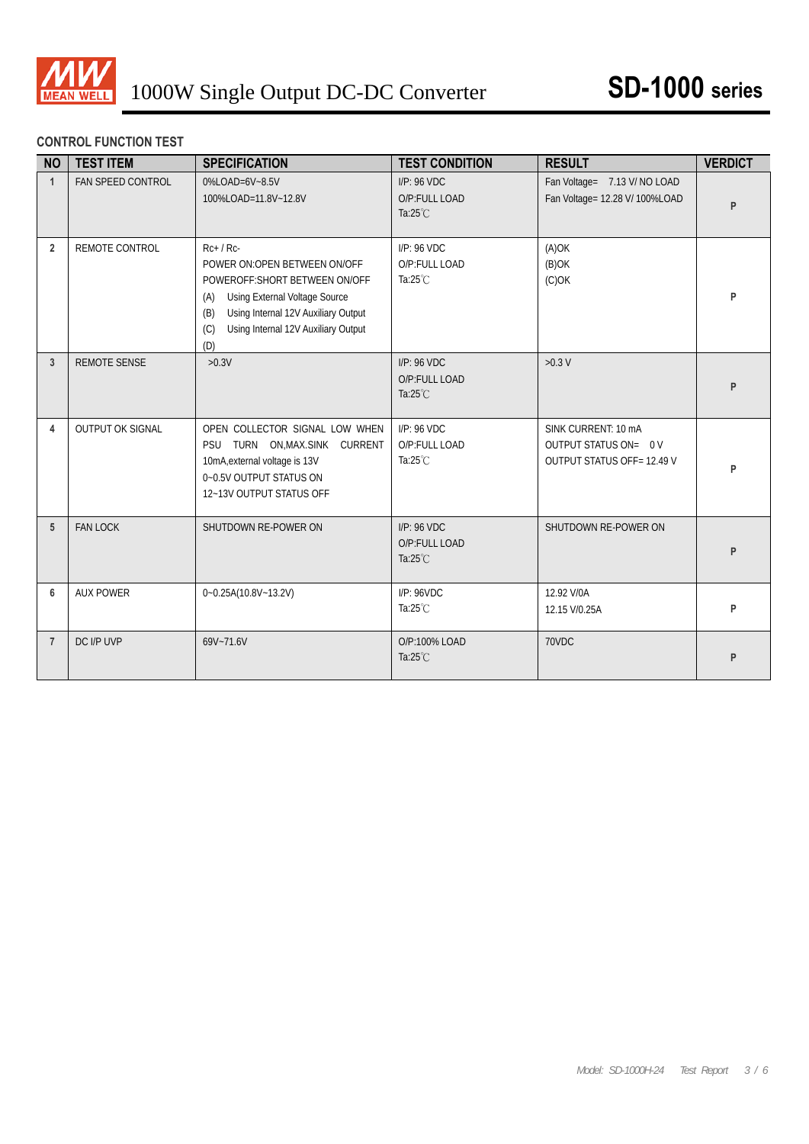

## **CONTROL FUNCTION TEST**

| <b>NO</b>      | <b>TEST ITEM</b>        | <b>SPECIFICATION</b>                                                                                                                                                                                                       | <b>TEST CONDITION</b>                                 | <b>RESULT</b>                                                                    | <b>VERDICT</b> |
|----------------|-------------------------|----------------------------------------------------------------------------------------------------------------------------------------------------------------------------------------------------------------------------|-------------------------------------------------------|----------------------------------------------------------------------------------|----------------|
| $\overline{1}$ | FAN SPEED CONTROL       | 0%LOAD=6V~8.5V<br>100%LOAD=11.8V~12.8V                                                                                                                                                                                     | $I/P$ : 96 VDC<br>O/P:FULL LOAD<br>Ta: $25^{\circ}$ C | Fan Voltage= 7.13 V/ NO LOAD<br>Fan Voltage= 12.28 V/ 100%LOAD                   | P              |
| $\overline{2}$ | REMOTE CONTROL          | $Rc+$ / $Rc-$<br>POWER ON:OPEN BETWEEN ON/OFF<br>POWEROFF: SHORT BETWEEN ON/OFF<br>Using External Voltage Source<br>(A)<br>Using Internal 12V Auxiliary Output<br>(B)<br>Using Internal 12V Auxiliary Output<br>(C)<br>(D) | $I/P$ : 96 VDC<br>O/P:FULL LOAD<br>Ta: $25^{\circ}$ C | $(A)$ OK<br>$(B)$ OK<br>$(C)$ OK                                                 | P              |
| $\mathbf{3}$   | REMOTE SENSE            | $>0.3V$                                                                                                                                                                                                                    | I/P: 96 VDC<br>O/P:FULL LOAD<br>Ta: $25^{\circ}$ C    | $>0.3$ V                                                                         | P              |
| 4              | <b>OUTPUT OK SIGNAL</b> | OPEN COLLECTOR SIGNAL LOW WHEN<br>PSU TURN ON, MAX. SINK CURRENT<br>10mA, external voltage is 13V<br>0~0.5V OUTPUT STATUS ON<br>12~13V OUTPUT STATUS OFF                                                                   | $I/P$ : 96 VDC<br>O/P:FULL LOAD<br>Ta: $25^{\circ}$ C | SINK CURRENT: 10 mA<br>OUTPUT STATUS ON= 0 V<br><b>OUTPUT STATUS OFF=12.49 V</b> | P              |
| 5              | <b>FAN LOCK</b>         | SHUTDOWN RE-POWER ON                                                                                                                                                                                                       | $I/P$ : 96 VDC<br>O/P:FULL LOAD<br>Ta: $25^{\circ}$ C | SHUTDOWN RE-POWER ON                                                             | P              |
| 6              | <b>AUX POWER</b>        | 0~0.25A(10.8V~13.2V)                                                                                                                                                                                                       | I/P: 96 VDC<br>Ta: $25^{\circ}$ C                     | 12.92 V/0A<br>12.15 V/0.25A                                                      | P              |
| $\overline{7}$ | DC I/P UVP              | 69V~71.6V                                                                                                                                                                                                                  | O/P:100% LOAD<br>Ta: $25^{\circ}$ C                   | 70VDC                                                                            | P              |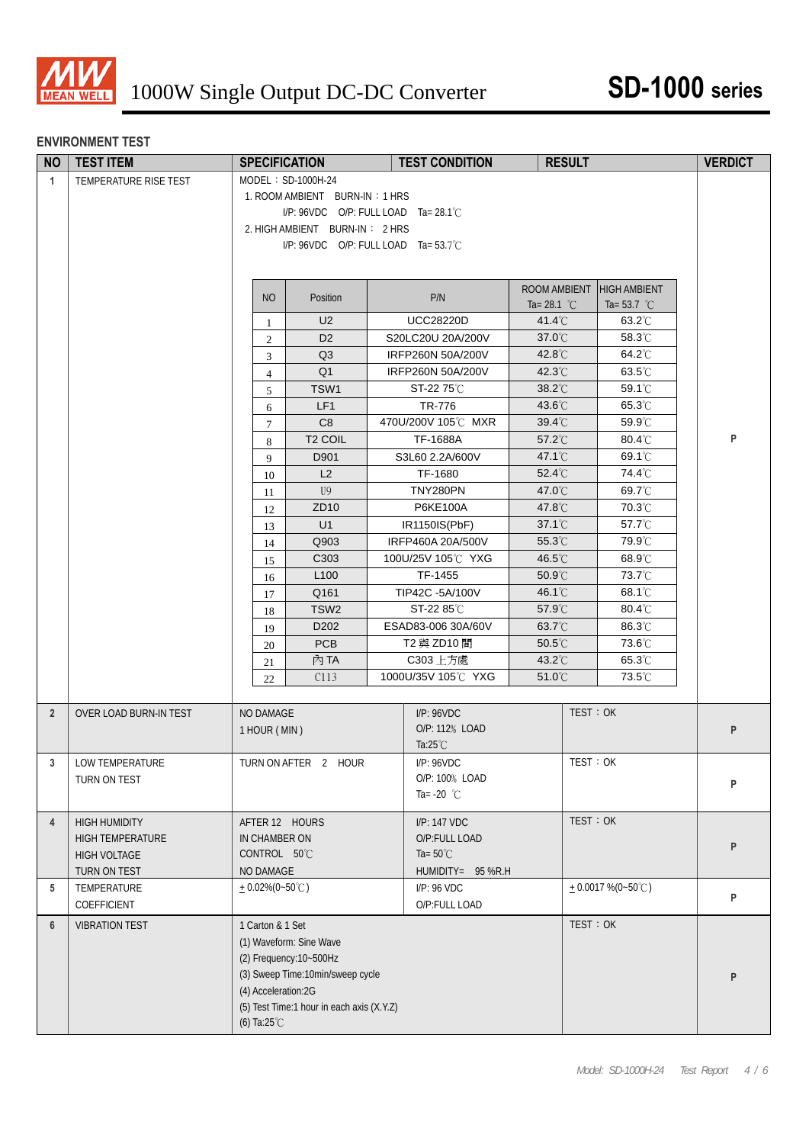

### **ENVIRONMENT TEST**

| <b>NO</b>      | <b>TEST ITEM</b>       | <b>SPECIFICATION</b>            |                                                             |  | <b>TEST CONDITION</b>                 | <b>RESULT</b>              |                       | <b>VERDICT</b> |
|----------------|------------------------|---------------------------------|-------------------------------------------------------------|--|---------------------------------------|----------------------------|-----------------------|----------------|
| $\overline{1}$ | TEMPERATURE RISE TEST  |                                 | MODEL: SD-1000H-24                                          |  |                                       |                            |                       |                |
|                |                        |                                 | 1. ROOM AMBIENT BURN-IN: 1 HRS                              |  |                                       |                            |                       |                |
|                |                        |                                 | $I/P$ : 96VDC O/P: FULL LOAD Ta= 28.1°C                     |  |                                       |                            |                       |                |
|                |                        |                                 | 2. HIGH AMBIENT BURN-IN: 2 HRS                              |  |                                       |                            |                       |                |
|                |                        |                                 | $I/P$ : 96VDC O/P: FULL LOAD Ta= 53.7°C                     |  |                                       |                            |                       |                |
|                |                        |                                 |                                                             |  |                                       |                            |                       |                |
|                |                        | NO                              | Position                                                    |  | P/N                                   | ROOM AMBIENT               | <b>HIGH AMBIENT</b>   |                |
|                |                        |                                 |                                                             |  |                                       | Ta= 28.1 $^{\circ}$ C      | Ta= 53.7 $^{\circ}$ C |                |
|                |                        | -1                              | U <sub>2</sub><br>D <sub>2</sub>                            |  | <b>UCC28220D</b><br>S20LC20U 20A/200V | $41.4^{\circ}$ C<br>37.0°C | 63.2°C<br>58.3°C      |                |
|                |                        | 2<br>3                          | Q3                                                          |  | IRFP260N 50A/200V                     | 42.8°C                     | 64.2°C                |                |
|                |                        | $\overline{4}$                  | Q <sub>1</sub>                                              |  | IRFP260N 50A/200V                     | 42.3°C                     | 63.5°C                |                |
|                |                        | 5                               | TSW1                                                        |  | ST-22 75℃                             | 38.2°C                     | 59.1°C                |                |
|                |                        | 6                               | LF1                                                         |  | TR-776                                | 43.6°C                     | 65.3°C                |                |
|                |                        | $\overline{7}$                  | C8                                                          |  | 470U/200V 105℃ MXR                    | $39.4^{\circ}$ C           | 59.9°C                |                |
|                |                        | 8                               | T <sub>2</sub> COIL                                         |  | <b>TF-1688A</b>                       | 57.2°C                     | 80.4°C                | P              |
|                |                        | 9                               | D901                                                        |  | S3L60 2.2A/600V                       | $47.1^{\circ}$ C           | 69.1°C                |                |
|                |                        | 10                              | L2                                                          |  | TF-1680                               | 52.4°C                     | 74.4°C                |                |
|                |                        | 11                              | U <sup>9</sup>                                              |  | <b>TNY280PN</b>                       | 47.0°C                     | 69.7°C                |                |
|                |                        | 12                              | ZD <sub>10</sub>                                            |  | P6KE100A                              | 47.8°C                     | 70.3°C                |                |
|                |                        | 13                              | U1                                                          |  | IR1150IS(PbF)                         | $37.1^{\circ}$             | 57.7°C                |                |
|                |                        | 14                              | Q903                                                        |  | IRFP460A 20A/500V                     | 55.3°C                     | 79.9°C                |                |
|                |                        | 15                              | C303<br>L <sub>100</sub>                                    |  | 100U/25V 105°C YXG<br>TF-1455         | 46.5°C<br>50.9°C           | 68.9°C<br>73.7°C      |                |
|                |                        | 16                              | Q161                                                        |  | TIP42C-5A/100V                        | 46.1°C                     | 68.1°C                |                |
|                |                        | 17<br>18                        | TSW <sub>2</sub>                                            |  | ST-22 85℃                             | 57.9°C                     | 80.4°C                |                |
|                |                        | 19                              | D202                                                        |  | ESAD83-006 30A/60V                    | $63.7^{\circ}$ C           | 86.3°C                |                |
|                |                        | 20                              | <b>PCB</b>                                                  |  | T2 與 ZD10 間                           | $50.5^{\circ}$ C           | 73.6°C                |                |
|                |                        | 21                              | 內 TA                                                        |  | C303 上方處                              | 43.2°C                     | 65.3°C                |                |
|                |                        | 22                              | C113                                                        |  | 1000U/35V 105°C YXG                   | 51.0°C                     | 73.5°C                |                |
|                |                        |                                 |                                                             |  |                                       |                            |                       |                |
| $\overline{2}$ | OVER LOAD BURN-IN TEST | <b>NO DAMAGE</b>                |                                                             |  | I/P: 96 VDC                           |                            | TEST: OK              |                |
|                |                        | 1 HOUR (MIN)                    |                                                             |  | O/P: 112% LOAD                        |                            |                       | P              |
|                |                        |                                 |                                                             |  | Ta: $25^{\circ}$ C                    |                            |                       |                |
| 3 <sup>7</sup> | LOW TEMPERATURE        |                                 | TURN ON AFTER 2 HOUR                                        |  | I/P: 96VDC                            |                            | TEST: OK              |                |
|                | TURN ON TEST           |                                 |                                                             |  | O/P: 100% LOAD<br>Ta= $-20$ °C        |                            |                       | P              |
|                |                        |                                 |                                                             |  |                                       |                            |                       |                |
| $\overline{4}$ | <b>HIGH HUMIDITY</b>   | AFTER 12 HOURS                  |                                                             |  | I/P: 147 VDC                          |                            | TEST: OK              |                |
|                | HIGH TEMPERATURE       | IN CHAMBER ON                   |                                                             |  | O/P:FULL LOAD                         |                            |                       | P              |
|                | <b>HIGH VOLTAGE</b>    | CONTROL 50°C                    |                                                             |  | Ta= $50^{\circ}$ C                    |                            |                       |                |
|                | TURN ON TEST           | NO DAMAGE                       |                                                             |  | HUMIDITY= 95 %R.H                     |                            |                       |                |
| 5              | TEMPERATURE            | $+0.02\%(0-50^{\circ}\text{C})$ |                                                             |  | I/P: 96 VDC                           |                            | $+0.0017\%$ (0~50°C)  | P              |
|                | COEFFICIENT            |                                 |                                                             |  | O/P:FULL LOAD                         |                            |                       |                |
| 6              | <b>VIBRATION TEST</b>  | 1 Carton & 1 Set                |                                                             |  |                                       |                            | TEST: OK              |                |
|                |                        |                                 | (1) Waveform: Sine Wave                                     |  |                                       |                            |                       |                |
|                |                        |                                 | (2) Frequency: 10~500Hz<br>(3) Sweep Time:10min/sweep cycle |  |                                       |                            |                       |                |
|                |                        | (4) Acceleration:2G             |                                                             |  |                                       |                            |                       | P              |
|                |                        |                                 | (5) Test Time:1 hour in each axis (X.Y.Z)                   |  |                                       |                            |                       |                |
|                |                        | (6) Ta: $25^{\circ}$ C          |                                                             |  |                                       |                            |                       |                |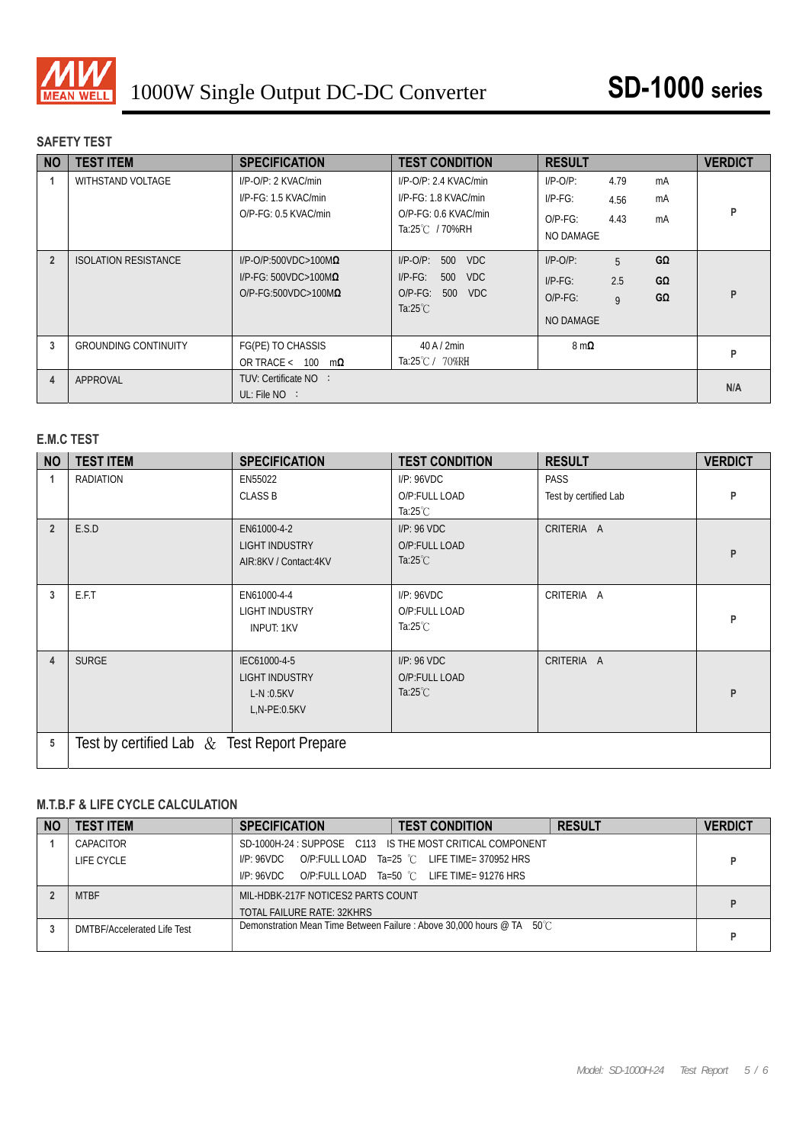

# **SAFETY TEST**

| <b>NO</b>      | <b>TEST ITEM</b>            | <b>SPECIFICATION</b>                                                                              | <b>TEST CONDITION</b>                                                                                              | <b>RESULT</b>                                                                                         | <b>VERDICT</b> |
|----------------|-----------------------------|---------------------------------------------------------------------------------------------------|--------------------------------------------------------------------------------------------------------------------|-------------------------------------------------------------------------------------------------------|----------------|
|                | <b>WITHSTAND VOLTAGE</b>    | I/P-O/P: 2 KVAC/min<br>$I/P-FG: 1.5 KVAC/min$<br>O/P-FG: 0.5 KVAC/min                             | $I/P$ -O/P: 2.4 KVAC/min<br>$I/P$ - $F$ G: 1.8 KVAC/min<br>O/P-FG: 0.6 KVAC/min<br>Ta:25℃ / 70%RH                  | $I/P-O/P$ :<br>4.79<br>mA<br>$I/P-FG$ :<br>mA<br>4.56<br>4.43<br>$O/P-FG$ :<br>mA<br>NO DAMAGE        | P              |
| $\overline{2}$ | <b>ISOLATION RESISTANCE</b> | $I/P$ -O/P:500VDC>100M $\Omega$<br>I/P-FG: 500VDC>100M $\Omega$<br>$O/P$ -FG:500VDC>100M $\Omega$ | $I/P-O/P$ :<br>500<br><b>VDC</b><br>$I/P-FG$ :<br><b>VDC</b><br>500<br>$O/P-FG$ :<br>500 VDC<br>Ta: $25^{\circ}$ C | $I/P-O/P$ :<br>GΩ<br>5<br>2.5<br>$G\Omega$<br>$I/P-FG$ :<br>GΩ<br>$O/P-FG$ :<br>9<br><b>NO DAMAGE</b> | P              |
| 3              | <b>GROUNDING CONTINUITY</b> | FG(PE) TO CHASSIS<br>OR TRACE < $100 \text{ m}\Omega$                                             | $40$ A $/$ 2min<br>Ta:25℃/ 70%RH                                                                                   | $8 \text{ m}\Omega$                                                                                   | P              |
| 4              | APPROVAL                    | TUV: Certificate NO :<br>UL: File $NO$ :                                                          |                                                                                                                    |                                                                                                       | N/A            |

# **E.M.C TEST**

| <b>NO</b>      | <b>TEST ITEM</b>                            | <b>SPECIFICATION</b>                                                   | <b>TEST CONDITION</b>                              | <b>RESULT</b>                 | <b>VERDICT</b> |  |
|----------------|---------------------------------------------|------------------------------------------------------------------------|----------------------------------------------------|-------------------------------|----------------|--|
|                | <b>RADIATION</b>                            | EN55022<br><b>CLASS B</b>                                              | I/P: 96VDC<br>O/P:FULL LOAD<br>Ta: $25^{\circ}$ C  | PASS<br>Test by certified Lab | P              |  |
| $\overline{2}$ | E.S.D                                       | EN61000-4-2<br><b>LIGHT INDUSTRY</b><br>AIR:8KV / Contact:4KV          | I/P: 96 VDC<br>O/P:FULL LOAD<br>Ta: $25^{\circ}$ C | CRITERIA A                    | P              |  |
| 3              | E.F.T                                       | EN61000-4-4<br><b>LIGHT INDUSTRY</b><br><b>INPUT: 1KV</b>              | I/P: 96 VDC<br>O/P:FULL LOAD<br>Ta:25 $°C$         | CRITERIA A                    | P              |  |
| 4              | <b>SURGE</b>                                | IEC61000-4-5<br><b>LIGHT INDUSTRY</b><br>$L-N:0.5KV$<br>$L.N-PE:0.5KV$ | I/P: 96 VDC<br>O/P:FULL LOAD<br>Ta: $25^{\circ}$ C | CRITERIA A                    | P              |  |
| 5              | Test by certified Lab & Test Report Prepare |                                                                        |                                                    |                               |                |  |

#### **M.T.B.F & LIFE CYCLE CALCULATION**

| <b>NO</b> | <b>TEST ITEM</b>            | <b>SPECIFICATION</b>                                                      | <b>TEST CONDITION</b>                                                                                    | <b>RESULT</b> | <b>VERDICT</b> |
|-----------|-----------------------------|---------------------------------------------------------------------------|----------------------------------------------------------------------------------------------------------|---------------|----------------|
|           | CAPACITOR<br>LIFE CYCLE     | $I/P$ : 96VDC O/P:FULL LOAD Ta=25 °C LIFE TIME= 370952 HRS<br>I/P: 96 VDC | SD-1000H-24 : SUPPOSE C113 IS THE MOST CRITICAL COMPONENT<br>O/P:FULL LOAD Ta=50 °C LIFE TIME= 91276 HRS |               |                |
|           | <b>MTBF</b>                 | MIL-HDBK-217F NOTICES2 PARTS COUNT<br>TOTAL FAILURE RATE: 32KHRS          |                                                                                                          |               |                |
|           | DMTBF/Accelerated Life Test |                                                                           | Demonstration Mean Time Between Failure : Above 30.000 hours @ TA 50℃                                    |               |                |